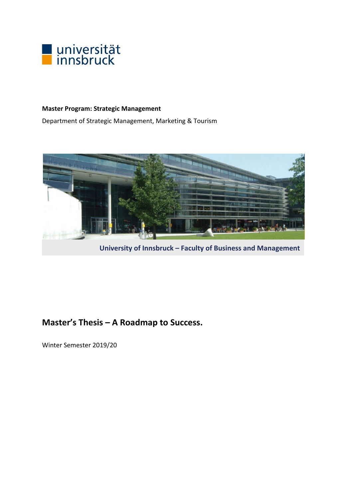

## **Master Program: Strategic Management**

Department of Strategic Management, Marketing & Tourism



**University of Innsbruck – Faculty of Business and Management**

# **Master's Thesis – A Roadmap to Success.**

Winter Semester 2019/20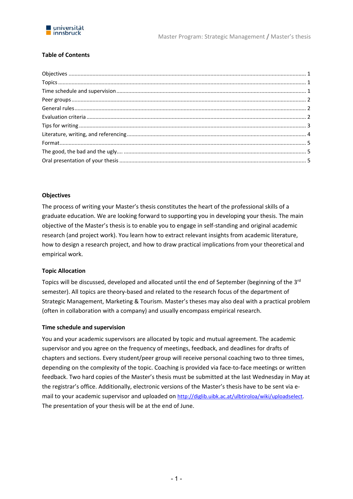

## **Table of Contents**

## **Objectives**

The process of writing your Master's thesis constitutes the heart of the professional skills of a graduate education. We are looking forward to supporting you in developing your thesis. The main objective of the Master's thesis is to enable you to engage in self‐standing and original academic research (and project work). You learn how to extract relevant insights from academic literature, how to design a research project, and how to draw practical implications from your theoretical and empirical work.

## **Topic Allocation**

Topics will be discussed, developed and allocated until the end of September (beginning of the 3<sup>rd</sup> semester). All topics are theory-based and related to the research focus of the department of Strategic Management, Marketing & Tourism. Master's theses may also deal with a practical problem (often in collaboration with a company) and usually encompass empirical research.

#### **Time schedule and supervision**

You and your academic supervisors are allocated by topic and mutual agreement. The academic supervisor and you agree on the frequency of meetings, feedback, and deadlines for drafts of chapters and sections. Every student/peer group will receive personal coaching two to three times, depending on the complexity of the topic. Coaching is provided via face-to-face meetings or written feedback. Two hard copies of the Master's thesis must be submitted at the last Wednesday in May at the registrar's office. Additionally, electronic versions of the Master's thesis have to be sent via e‐ mail to your academic supervisor and uploaded on http://diglib.uibk.ac.at/ulbtiroloa/wiki/uploadselect. The presentation of your thesis will be at the end of June.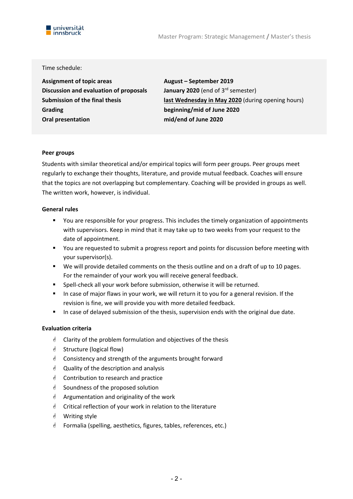



#### Time schedule:

**Assignment of topic areas August – September 2019 Discussion and evaluation of proposals January 2020** (end of 3<sup>rd</sup> semester) **Grading beginning/mid of June 2020 Oral presentation mid/end of June 2020** 

**Submission of the final thesis last Wednesday in May 2020** (during opening hours)

#### **Peer groups**

Students with similar theoretical and/or empirical topics will form peer groups. Peer groups meet regularly to exchange their thoughts, literature, and provide mutual feedback. Coaches will ensure that the topics are not overlapping but complementary. Coaching will be provided in groups as well. The written work, however, is individual.

#### **General rules**

- You are responsible for your progress. This includes the timely organization of appointments with supervisors. Keep in mind that it may take up to two weeks from your request to the date of appointment.
- You are requested to submit a progress report and points for discussion before meeting with your supervisor(s).
- We will provide detailed comments on the thesis outline and on a draft of up to 10 pages. For the remainder of your work you will receive general feedback.
- Spell-check all your work before submission, otherwise it will be returned.
- In case of major flaws in your work, we will return it to you for a general revision. If the revision is fine, we will provide you with more detailed feedback.
- In case of delayed submission of the thesis, supervision ends with the original due date.

#### **Evaluation criteria**

- $\triangleleft$  Clarity of the problem formulation and objectives of the thesis
- $\triangleleft$  Structure (logical flow)
- Consistency and strength of the arguments brought forward
- $\triangleleft$  Quality of the description and analysis
- Contribution to research and practice
- $\triangleleft$  Soundness of the proposed solution
- $\triangleleft$  Argumentation and originality of the work
- $\triangleq$  Critical reflection of your work in relation to the literature
- Writing style
- *S* Formalia (spelling, aesthetics, figures, tables, references, etc.)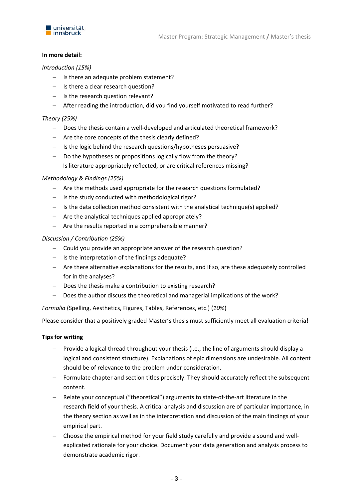

#### **In more detail:**

#### *Introduction (15%)*

- $-$  Is there an adequate problem statement?
- $-$  Is there a clear research question?
- $-$  Is the research question relevant?
- After reading the introduction, did you find yourself motivated to read further?

#### *Theory (25%)*

- Does the thesis contain a well‐developed and articulated theoretical framework?
- Are the core concepts of the thesis clearly defined?
- $-$  Is the logic behind the research questions/hypotheses persuasive?
- Do the hypotheses or propositions logically flow from the theory?
- Is literature appropriately reflected, or are critical references missing?

#### *Methodology & Findings (25%)*

- Are the methods used appropriate for the research questions formulated?
- $-$  Is the study conducted with methodological rigor?
- $-I$  Is the data collection method consistent with the analytical technique(s) applied?
- $-$  Are the analytical techniques applied appropriately?
- Are the results reported in a comprehensible manner?

#### *Discussion / Contribution (25%)*

- Could you provide an appropriate answer of the research question?
- $-$  Is the interpretation of the findings adequate?
- Are there alternative explanations for the results, and if so, are these adequately controlled for in the analyses?
- Does the thesis make a contribution to existing research?
- Does the author discuss the theoretical and managerial implications of the work?

*Formalia* (Spelling, Aesthetics, Figures, Tables, References, etc.) (*10%*)

Please consider that a positively graded Master's thesis must sufficiently meet all evaluation criteria!

#### **Tips for writing**

- Provide a logical thread throughout your thesis (i.e., the line of arguments should display a logical and consistent structure). Explanations of epic dimensions are undesirable. All content should be of relevance to the problem under consideration.
- Formulate chapter and section titles precisely. They should accurately reflect the subsequent content.
- Relate your conceptual ("theoretical") arguments to state‐of‐the‐art literature in the research field of your thesis. A critical analysis and discussion are of particular importance, in the theory section as well as in the interpretation and discussion of the main findings of your empirical part.
- Choose the empirical method for your field study carefully and provide a sound and well‐ explicated rationale for your choice. Document your data generation and analysis process to demonstrate academic rigor.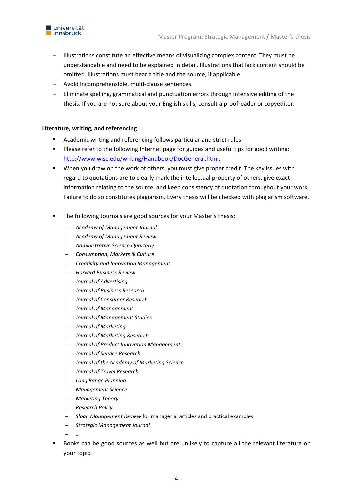

- Illustrations constitute an effective means of visualizing complex content. They must be understandable and need to be explained in detail. Illustrations that lack content should be omitted. Illustrations must bear a title and the source, if applicable.
- Avoid incomprehensible, multi‐clause sentences.
- Eliminate spelling, grammatical and punctuation errors through intensive editing of the thesis. If you are not sure about your English skills, consult a proofreader or copyeditor.

## **Literature, writing, and referencing**

- Academic writing and referencing follows particular and strict rules.
- **Please refer to the following Internet page for guides and useful tips for good writing:** http://www.wisc.edu/writing/Handbook/DocGeneral.html.
- When you draw on the work of others, you must give proper credit. The key issues with regard to quotations are to clearly mark the intellectual property of others, give exact information relating to the source, and keep consistency of quotation throughout your work. Failure to do so constitutes plagiarism. Every thesis will be checked with plagiarism software.
- **The following Journals are good sources for your Master's thesis:** 
	- *Academy of Management Journal*
	- *Academy of Management Review*
	- *Administrative Science Quarterly*
	- *Consumption, Markets & Culture*
	- *Creativity and Innovation Management*
	- *Harvard Business Review*
	- *Journal of Advertising*
	- *Journal of Business Research*
	- *Journal of Consumer Research*
	- *Journal of Management*
	- *Journal of Management Studies*
	- *Journal of Marketing*
	- *Journal of Marketing Research*
	- *Journal of Product Innovation Management*
	- *Journal of Service Research*
	- *Journal of the Academy of Marketing Science*
	- *Journal of Travel Research*
	- *Long Range Planning*
	- *Management Science*
	- *Marketing Theory*
	- *Research Policy*
	- *Sloan Management Review* for managerial articles and practical examples
	- *Strategic Management Journal*

*…* 

 Books can be good sources as well but are unlikely to capture all the relevant literature on your topic.